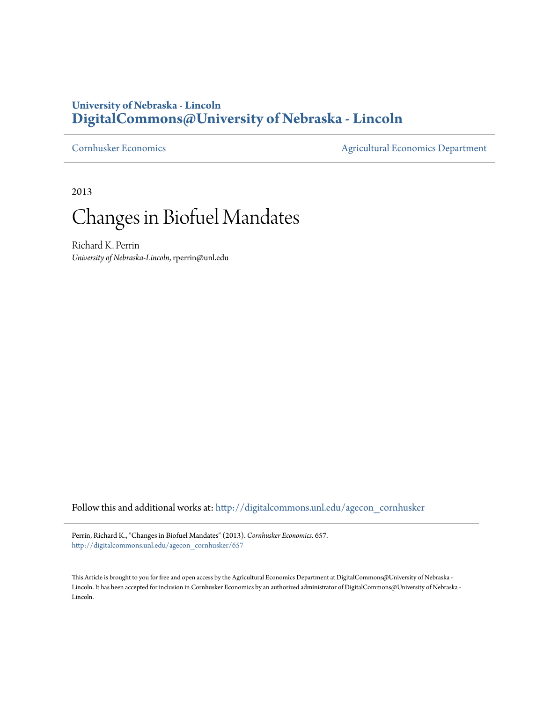## **University of Nebraska - Lincoln [DigitalCommons@University of Nebraska - Lincoln](http://digitalcommons.unl.edu?utm_source=digitalcommons.unl.edu%2Fagecon_cornhusker%2F657&utm_medium=PDF&utm_campaign=PDFCoverPages)**

[Cornhusker Economics](http://digitalcommons.unl.edu/agecon_cornhusker?utm_source=digitalcommons.unl.edu%2Fagecon_cornhusker%2F657&utm_medium=PDF&utm_campaign=PDFCoverPages) [Agricultural Economics Department](http://digitalcommons.unl.edu/ag_econ?utm_source=digitalcommons.unl.edu%2Fagecon_cornhusker%2F657&utm_medium=PDF&utm_campaign=PDFCoverPages)

2013

## Changes in Biofuel Mandates

Richard K. Perrin *University of Nebraska-Lincoln*, rperrin@unl.edu

Follow this and additional works at: [http://digitalcommons.unl.edu/agecon\\_cornhusker](http://digitalcommons.unl.edu/agecon_cornhusker?utm_source=digitalcommons.unl.edu%2Fagecon_cornhusker%2F657&utm_medium=PDF&utm_campaign=PDFCoverPages)

Perrin, Richard K., "Changes in Biofuel Mandates" (2013). *Cornhusker Economics*. 657. [http://digitalcommons.unl.edu/agecon\\_cornhusker/657](http://digitalcommons.unl.edu/agecon_cornhusker/657?utm_source=digitalcommons.unl.edu%2Fagecon_cornhusker%2F657&utm_medium=PDF&utm_campaign=PDFCoverPages)

This Article is brought to you for free and open access by the Agricultural Economics Department at DigitalCommons@University of Nebraska - Lincoln. It has been accepted for inclusion in Cornhusker Economics by an authorized administrator of DigitalCommons@University of Nebraska -Lincoln.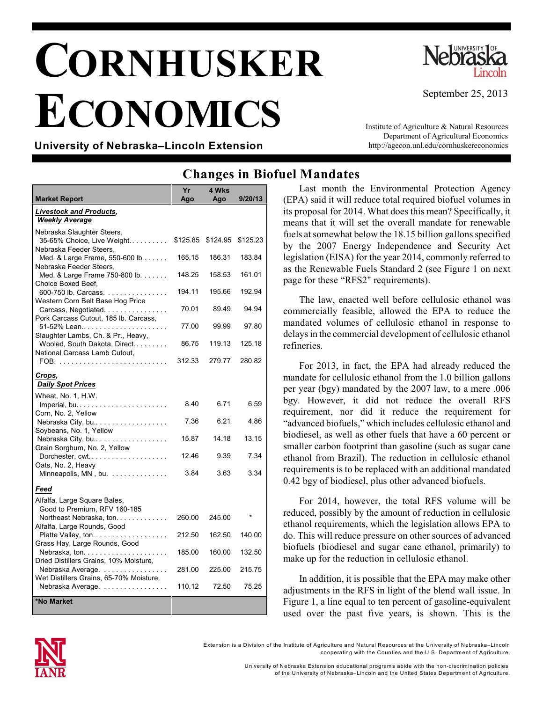## **CORNHUSKER ECONOMICS**



September 25, 2013

**University of Nebraska–Lincoln Extension**

Institute of Agriculture & Natural Resources Department of Agricultural Economics http://agecon.unl.edu/cornhuskereconomics

## **Changes in Biofuel Mandates**

| Market Report                                                                       | Yr<br>Ago | 4 Wks<br>Ago | 9/20/13  |
|-------------------------------------------------------------------------------------|-----------|--------------|----------|
| <b>Livestock and Products,</b>                                                      |           |              |          |
| <b>Weekly Average</b>                                                               |           |              |          |
| Nebraska Slaughter Steers,<br>35-65% Choice, Live Weight<br>Nebraska Feeder Steers, | \$125.85  | \$124.95     | \$125.23 |
| Med. & Large Frame, 550-600 lb<br>Nebraska Feeder Steers,                           | 165.15    | 186.31       | 183.84   |
| Med. & Large Frame 750-800 lb.<br>Choice Boxed Beef,                                | 148.25    | 158.53       | 161.01   |
| 600-750 lb. Carcass.                                                                | 194.11    | 195.66       | 192.94   |
| Western Corn Belt Base Hog Price<br>Carcass, Negotiated.                            | 70.01     | 89.49        | 94.94    |
| Pork Carcass Cutout, 185 lb. Carcass,<br>51-52% Lean                                | 77.00     | 99.99        | 97.80    |
| Slaughter Lambs, Ch. & Pr., Heavy,<br>Wooled, South Dakota, Direct                  | 86.75     | 119.13       | 125.18   |
| National Carcass Lamb Cutout,                                                       | 312.33    | 279.77       | 280.82   |
| Crops,<br><b>Daily Spot Prices</b>                                                  |           |              |          |
| Wheat, No. 1, H.W.                                                                  | 8.40      | 6.71         | 6.59     |
| Corn, No. 2, Yellow<br>Nebraska City, bu                                            | 7.36      | 6.21         | 4.86     |
| Soybeans, No. 1, Yellow<br>Nebraska City, bu                                        | 15.87     | 14.18        | 13.15    |
| Grain Sorghum, No. 2, Yellow<br>Dorchester, cwt                                     | 12.46     | 9.39         | 7.34     |
| Oats, No. 2, Heavy<br>Minneapolis, MN, bu.                                          | 3.84      | 3.63         | 3.34     |
| Feed                                                                                |           |              |          |
| Alfalfa, Large Square Bales,<br>Good to Premium, RFV 160-185                        |           |              |          |
| Northeast Nebraska, ton.<br>Alfalfa, Large Rounds, Good                             | 260.00    | 245.00       |          |
| Platte Valley, ton<br>Grass Hay, Large Rounds, Good                                 | 212.50    | 162.50       | 140.00   |
| Dried Distillers Grains, 10% Moisture,                                              | 185.00    | 160.00       | 132.50   |
| Nebraska Average.                                                                   | 281.00    | 225.00       | 215.75   |
| Wet Distillers Grains, 65-70% Moisture,<br>Nebraska Average.                        | 110.12    | 72.50        | 75.25    |
| *No Market                                                                          |           |              |          |

Last month the Environmental Protection Agency (EPA) said it will reduce total required biofuel volumes in its proposal for 2014. What does this mean? Specifically, it means that it will set the overall mandate for renewable fuels at somewhat below the 18.15 billion gallons specified by the 2007 Energy Independence and Security Act legislation (EISA) for the year 2014, commonly referred to as the Renewable Fuels Standard 2 (see Figure 1 on next page for these "RFS2" requirements).

The law, enacted well before cellulosic ethanol was commercially feasible, allowed the EPA to reduce the mandated volumes of cellulosic ethanol in response to delays in the commercial development of cellulosic ethanol refineries.

For 2013, in fact, the EPA had already reduced the mandate for cellulosic ethanol from the 1.0 billion gallons per year (bgy) mandated by the 2007 law, to a mere .006 bgy. However, it did not reduce the overall RFS requirement, nor did it reduce the requirement for "advanced biofuels," which includes cellulosic ethanol and biodiesel, as well as other fuels that have a 60 percent or smaller carbon footprint than gasoline (such as sugar cane ethanol from Brazil). The reduction in cellulosic ethanol requirements is to be replaced with an additional mandated 0.42 bgy of biodiesel, plus other advanced biofuels.

For 2014, however, the total RFS volume will be reduced, possibly by the amount of reduction in cellulosic ethanol requirements, which the legislation allows EPA to do. This will reduce pressure on other sources of advanced biofuels (biodiesel and sugar cane ethanol, primarily) to make up for the reduction in cellulosic ethanol.

In addition, it is possible that the EPA may make other adjustments in the RFS in light of the blend wall issue. In Figure 1, a line equal to ten percent of gasoline-equivalent used over the past five years, is shown. This is the



Extension is a Division of the Institute of Agriculture and Natural Resources at the University of Nebraska–Lincoln cooperating with the Counties and the U.S. Departm ent of Agriculture.

University of Nebraska Extension educational program s abide with the non-discrim ination policies

of the University of Nebraska–Lincoln and the United States Departm ent of Agriculture.